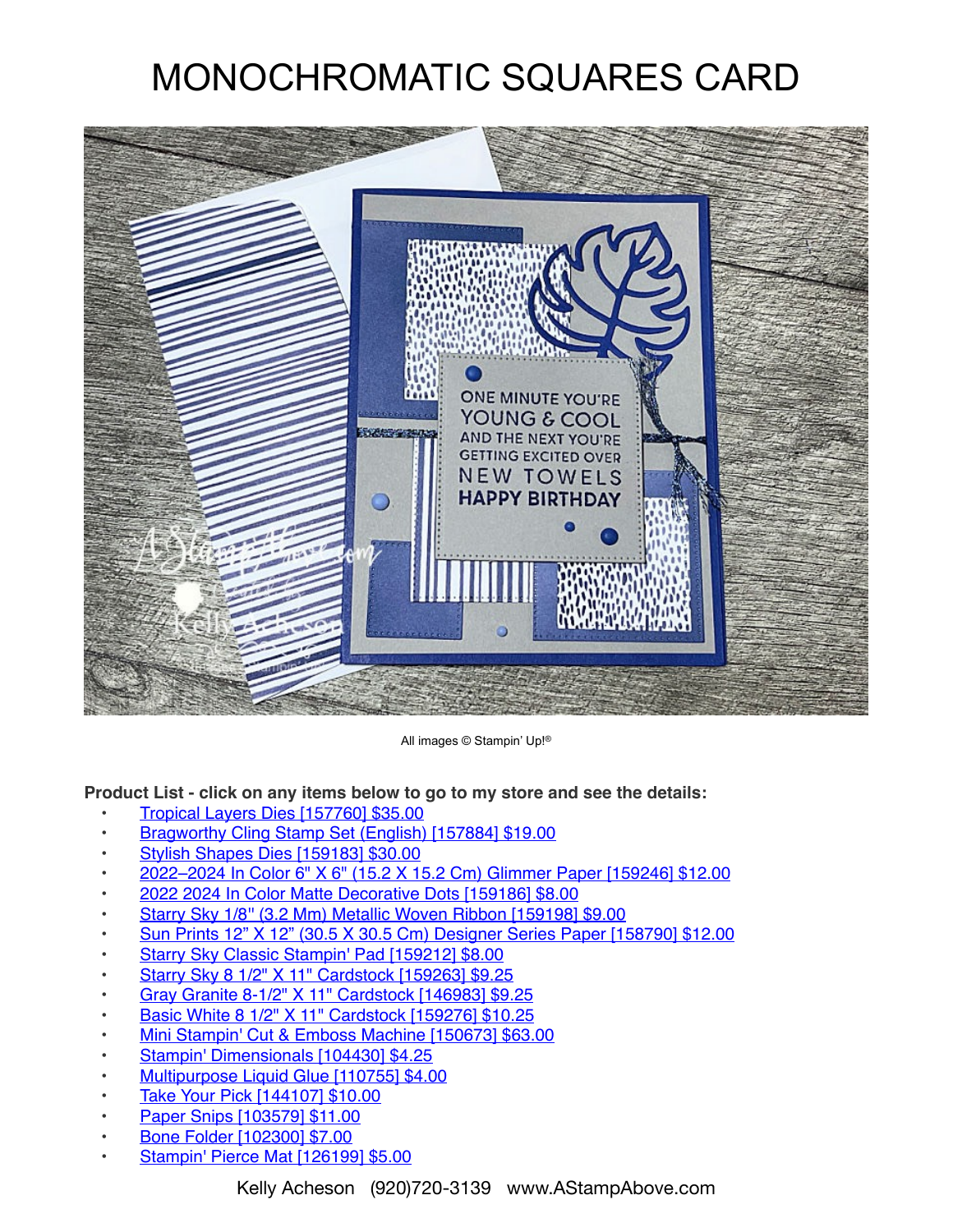## MONOCHROMATIC SQUARES CARD



All images © Stampin' Up!®

**Product List - click on any items below to go to my store and see the details:**

- [Tropical Layers Dies \[157760\] \\$35.00](https://www.stampinup.com/products/tropical-layers-dies?demoid=80626)
- [Bragworthy Cling Stamp Set \(English\) \[157884\] \\$19.00](https://www.stampinup.com/products/bragworthy-cling-stamp-set-english?demoid=80626)
- [Stylish Shapes Dies \[159183\] \\$30.00](https://www.stampinup.com/products/stylish-shapes-dies?demoid=80626)
- [2022–2024 In Color 6" X 6" \(15.2 X 15.2 Cm\) Glimmer Paper \[159246\] \\$12.00](https://www.stampinup.com/products/2022-2024-in-color-6-x-6-15-2-x-15-2-cm-glimmer-paper?demoid=80626)
- [2022 2024 In Color Matte Decorative Dots \[159186\] \\$8.00](https://www.stampinup.com/products/2022-2024-in-color-matte-decorative-dots?demoid=80626)
- [Starry Sky 1/8'' \(3.2 Mm\) Metallic Woven Ribbon \[159198\] \\$9.00](https://www.stampinup.com/products/starry-sky-1-8-(3-2-mm)-metallic-woven-ribbon?demoid=80626)
- [Sun Prints 12" X 12" \(30.5 X 30.5 Cm\) Designer Series Paper \[158790\] \\$12.00](https://www.stampinup.com/products/sun-prints-12-x-12-30-5-x-30-5-cm-designer-series-paper?demoid=80626)
- [Starry Sky Classic Stampin' Pad \[159212\] \\$8.00](https://www.stampinup.com/products/starry-sky-classic-stampin-pad?demoid=80626)
- [Starry Sky 8 1/2" X 11" Cardstock \[159263\] \\$9.25](https://www.stampinup.com/products/starry-sky-8-1-2-x-11-cardstock?demoid=80626)
- [Gray Granite 8-1/2" X 11" Cardstock \[146983\] \\$9.25](https://www.stampinup.com/products/cardstock-8-1-2-x-11-gray-granite?demoid=80626)
- [Basic White 8 1/2" X 11" Cardstock \[159276\] \\$10.25](https://www.stampinup.com/products/basic-white-8-1-2-x-11-cardstock?demoid=80626)
- [Mini Stampin' Cut & Emboss Machine \[150673\] \\$63.00](https://www.stampinup.com/products/mini-stampin-cut-emboss-machine?demoid=80626)
- [Stampin' Dimensionals \[104430\] \\$4.25](https://www.stampinup.com/products/stampin-dimensionals?demoid=80626)
- [Multipurpose Liquid Glue \[110755\] \\$4.00](https://www.stampinup.com/products/glue-liquid-multipurpose?demoid=80626)
- [Take Your Pick \[144107\] \\$10.00](https://www.stampinup.com/products/take-your-pick?demoid=80626)
- [Paper Snips \[103579\] \\$11.00](https://www.stampinup.com/products/scissors-paper-snips?demoid=80626)
- [Bone Folder \[102300\] \\$7.00](https://www.stampinup.com/products/bone-folder?demoid=80626)
- **[Stampin' Pierce Mat \[126199\] \\$5.00](https://www.stampinup.com/products/stampin-pierce-mat?demoid=80626)**